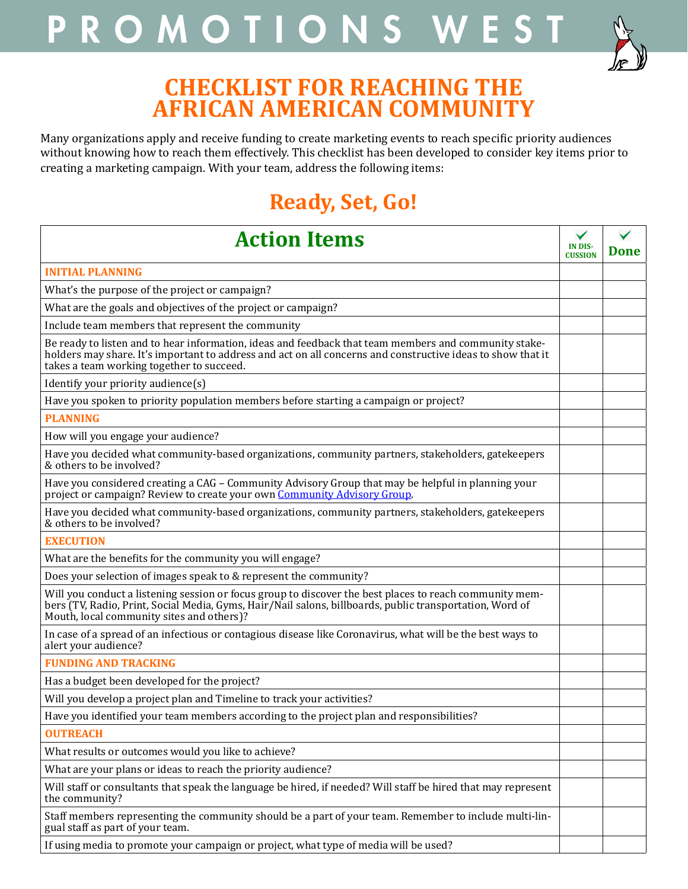## PROMOTIONS WEST



### **CHECKLIST FOR REACHING THE AFRICAN AMERICAN COMMUNITY**

Many organizations apply and receive funding to create marketing events to reach specific priority audiences without knowing how to reach them effectively. This checklist has been developed to consider key items prior to creating a marketing campaign. With your team, address the following items:

## **Ready, Set, Go!**

| <b>Action Items</b>                                                                                                                                                                                                                                               |  | Done |
|-------------------------------------------------------------------------------------------------------------------------------------------------------------------------------------------------------------------------------------------------------------------|--|------|
| <b>INITIAL PLANNING</b>                                                                                                                                                                                                                                           |  |      |
| What's the purpose of the project or campaign?                                                                                                                                                                                                                    |  |      |
| What are the goals and objectives of the project or campaign?                                                                                                                                                                                                     |  |      |
| Include team members that represent the community                                                                                                                                                                                                                 |  |      |
| Be ready to listen and to hear information, ideas and feedback that team members and community stake-<br>holders may share. It's important to address and act on all concerns and constructive ideas to show that it<br>takes a team working together to succeed. |  |      |
| Identify your priority audience(s)                                                                                                                                                                                                                                |  |      |
| Have you spoken to priority population members before starting a campaign or project?                                                                                                                                                                             |  |      |
| <b>PLANNING</b>                                                                                                                                                                                                                                                   |  |      |
| How will you engage your audience?                                                                                                                                                                                                                                |  |      |
| Have you decided what community-based organizations, community partners, stakeholders, gatekeepers<br>& others to be involved?                                                                                                                                    |  |      |
| Have you considered creating a CAG - Community Advisory Group that may be helpful in planning your<br>project or campaign? Review to create your own Community Advisory Group.                                                                                    |  |      |
| Have you decided what community-based organizations, community partners, stakeholders, gatekeepers<br>& others to be involved?                                                                                                                                    |  |      |
| <b>EXECUTION</b>                                                                                                                                                                                                                                                  |  |      |
| What are the benefits for the community you will engage?                                                                                                                                                                                                          |  |      |
| Does your selection of images speak to & represent the community?                                                                                                                                                                                                 |  |      |
| Will you conduct a listening session or focus group to discover the best places to reach community mem-<br>bers (TV, Radio, Print, Social Media, Gyms, Hair/Nail salons, billboards, public transportation, Word of<br>Mouth, local community sites and others)?  |  |      |
| In case of a spread of an infectious or contagious disease like Coronavirus, what will be the best ways to<br>alert your audience?                                                                                                                                |  |      |
| <b>FUNDING AND TRACKING</b>                                                                                                                                                                                                                                       |  |      |
| Has a budget been developed for the project?                                                                                                                                                                                                                      |  |      |
| Will you develop a project plan and Timeline to track your activities?                                                                                                                                                                                            |  |      |
| Have you identified your team members according to the project plan and responsibilities?                                                                                                                                                                         |  |      |
| <b>OUTREACH</b>                                                                                                                                                                                                                                                   |  |      |
| What results or outcomes would you like to achieve?                                                                                                                                                                                                               |  |      |
| What are your plans or ideas to reach the priority audience?                                                                                                                                                                                                      |  |      |
| Will staff or consultants that speak the language be hired, if needed? Will staff be hired that may represent<br>the community?                                                                                                                                   |  |      |
| Staff members representing the community should be a part of your team. Remember to include multi-lin-<br>gual staff as part of your team.                                                                                                                        |  |      |
| If using media to promote your campaign or project, what type of media will be used?                                                                                                                                                                              |  |      |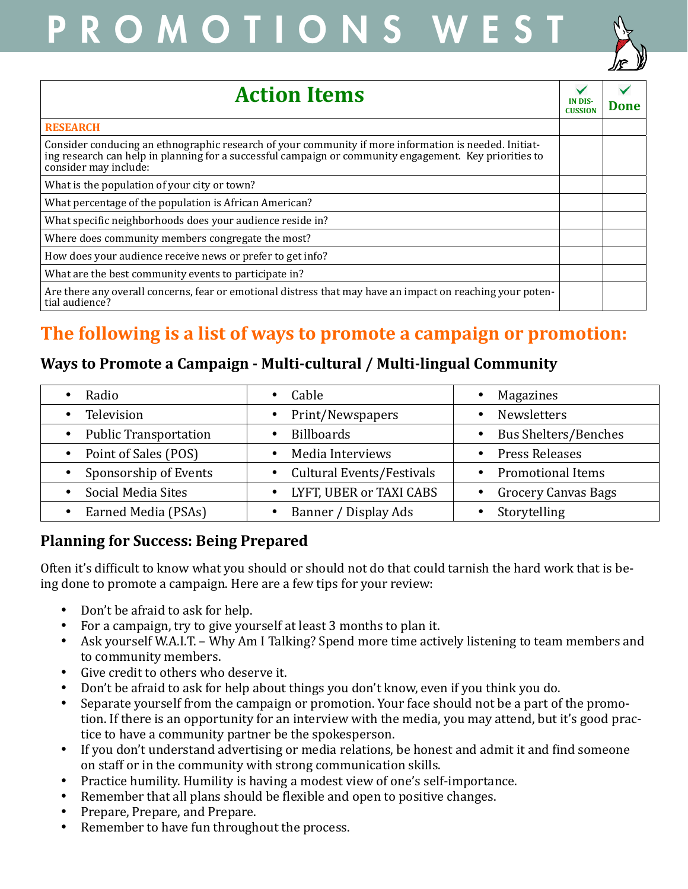# PROMOTIONS WEST



| <b>Action Items</b>                                                                                                                                                                                                                      | <b>IN DIS</b><br><b>CUSSION</b> | Done |
|------------------------------------------------------------------------------------------------------------------------------------------------------------------------------------------------------------------------------------------|---------------------------------|------|
| <b>RESEARCH</b>                                                                                                                                                                                                                          |                                 |      |
| Consider conducing an ethnographic research of your community if more information is needed. Initiat-<br>ing research can help in planning for a successful campaign or community engagement. Key priorities to<br>consider may include: |                                 |      |
| What is the population of your city or town?                                                                                                                                                                                             |                                 |      |
| What percentage of the population is African American?                                                                                                                                                                                   |                                 |      |
| What specific neighborhoods does your audience reside in?                                                                                                                                                                                |                                 |      |
| Where does community members congregate the most?                                                                                                                                                                                        |                                 |      |
| How does your audience receive news or prefer to get info?                                                                                                                                                                               |                                 |      |
| What are the best community events to participate in?                                                                                                                                                                                    |                                 |      |
| Are there any overall concerns, fear or emotional distress that may have an impact on reaching your poten-<br>tial audience?                                                                                                             |                                 |      |

### **The following is a list of ways to promote a campaign or promotion:**

#### **Ways to Promote a Campaign - Multi-cultural / Multi-lingual Community**

| Radio                            | Cable                            | Magazines                   |
|----------------------------------|----------------------------------|-----------------------------|
| Television                       | Print/Newspapers                 | <b>Newsletters</b>          |
| <b>Public Transportation</b>     | <b>Billboards</b>                | <b>Bus Shelters/Benches</b> |
| Point of Sales (POS)             | Media Interviews                 | <b>Press Releases</b>       |
| Sponsorship of Events            | <b>Cultural Events/Festivals</b> | <b>Promotional Items</b>    |
| Social Media Sites<br>$\bullet$  | LYFT, UBER or TAXI CABS          | <b>Grocery Canvas Bags</b>  |
| Earned Media (PSAs)<br>$\bullet$ | Banner / Display Ads             | Storytelling                |

#### **Planning for Success: Being Prepared**

Often it's difficult to know what you should or should not do that could tarnish the hard work that is being done to promote a campaign. Here are a few tips for your review:

- Don't be afraid to ask for help.
- For a campaign, try to give yourself at least 3 months to plan it.
- Ask yourself W.A.I.T. Why Am I Talking? Spend more time actively listening to team members and to community members.
- • Give credit to others who deserve it.
- Don't be afraid to ask for help about things you don't know, even if you think you do.
- Separate yourself from the campaign or promotion. Your face should not be a part of the promotion. If there is an opportunity for an interview with the media, you may attend, but it's good practice to have a community partner be the spokesperson.
- If you don't understand advertising or media relations, be honest and admit it and find someone on staff or in the community with strong communication skills.
- Practice humility. Humility is having a modest view of one's self-importance.
- Remember that all plans should be flexible and open to positive changes.
- Prepare, Prepare, and Prepare.
- Remember to have fun throughout the process.